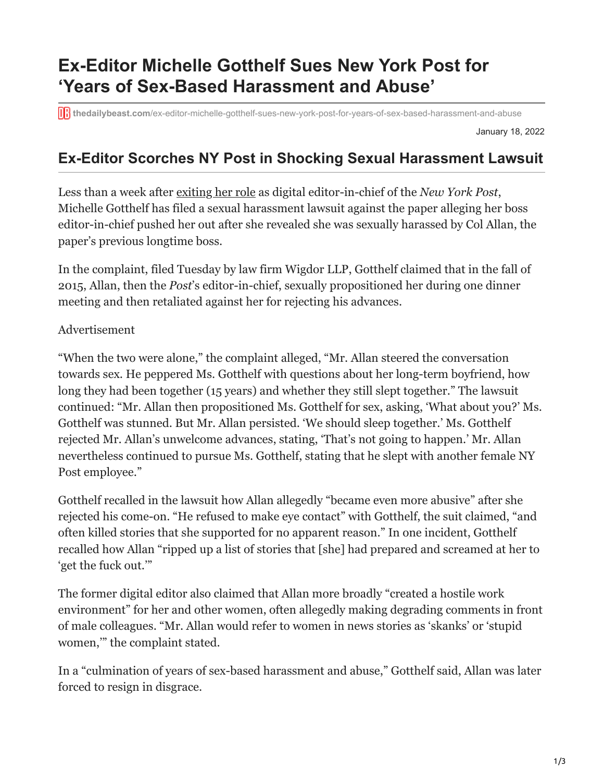## **Ex-Editor Michelle Gotthelf Sues New York Post for 'Years of Sex-Based Harassment and Abuse'**

**thedailybeast.com[/ex-editor-michelle-gotthelf-sues-new-york-post-for-years-of-sex-based-harassment-and-abuse](https://www.thedailybeast.com/ex-editor-michelle-gotthelf-sues-new-york-post-for-years-of-sex-based-harassment-and-abuse)** 

January 18, 2022

## **Ex-Editor Scorches NY Post in Shocking Sexual Harassment Lawsuit**

Less than a week after [exiting her role](https://twitter.com/maxwelltani/status/1481817860246749185) as digital editor-in-chief of the *New York Post*, Michelle Gotthelf has filed a sexual harassment lawsuit against the paper alleging her boss editor-in-chief pushed her out after she revealed she was sexually harassed by Col Allan, the paper's previous longtime boss.

In the complaint, filed Tuesday by law firm Wigdor LLP, Gotthelf claimed that in the fall of 2015, Allan, then the *Post*'s editor-in-chief, sexually propositioned her during one dinner meeting and then retaliated against her for rejecting his advances.

Advertisement

"When the two were alone," the complaint alleged, "Mr. Allan steered the conversation towards sex. He peppered Ms. Gotthelf with questions about her long-term boyfriend, how long they had been together (15 years) and whether they still slept together." The lawsuit continued: "Mr. Allan then propositioned Ms. Gotthelf for sex, asking, 'What about you?' Ms. Gotthelf was stunned. But Mr. Allan persisted. 'We should sleep together.' Ms. Gotthelf rejected Mr. Allan's unwelcome advances, stating, 'That's not going to happen.' Mr. Allan nevertheless continued to pursue Ms. Gotthelf, stating that he slept with another female NY Post employee."

Gotthelf recalled in the lawsuit how Allan allegedly "became even more abusive" after she rejected his come-on. "He refused to make eye contact" with Gotthelf, the suit claimed, "and often killed stories that she supported for no apparent reason." In one incident, Gotthelf recalled how Allan "ripped up a list of stories that [she] had prepared and screamed at her to 'get the fuck out.'"

The former digital editor also claimed that Allan more broadly "created a hostile work environment" for her and other women, often allegedly making degrading comments in front of male colleagues. "Mr. Allan would refer to women in news stories as 'skanks' or 'stupid women,'" the complaint stated.

In a "culmination of years of sex-based harassment and abuse," Gotthelf said, Allan was later forced to resign in disgrace.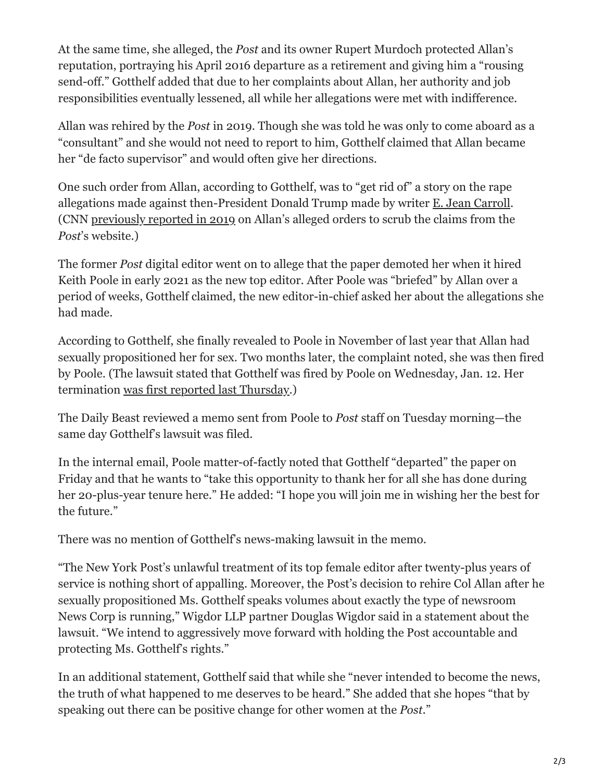At the same time, she alleged, the *Post* and its owner Rupert Murdoch protected Allan's reputation, portraying his April 2016 departure as a retirement and giving him a "rousing send-off." Gotthelf added that due to her complaints about Allan, her authority and job responsibilities eventually lessened, all while her allegations were met with indifference.

Allan was rehired by the *Post* in 2019. Though she was told he was only to come aboard as a "consultant" and she would not need to report to him, Gotthelf claimed that Allan became her "de facto supervisor" and would often give her directions.

One such order from Allan, according to Gotthelf, was to "get rid of" a story on the rape allegations made against then-President Donald Trump made by writer [E. Jean Carroll.](https://www.thedailybeast.com/e-jean-carroll-trump-sexually-assaulted-me-in-a-bergdorfs-dressing-room) (CNN [previously reported in 2019](https://www.thedailybeast.com/new-york-post-adviser-ordered-e-jean-carrolls-assault-allegations-against-trump-off-the-site-report) on Allan's alleged orders to scrub the claims from the *Post*'s website.)

The former *Post* digital editor went on to allege that the paper demoted her when it hired Keith Poole in early 2021 as the new top editor. After Poole was "briefed" by Allan over a period of weeks, Gotthelf claimed, the new editor-in-chief asked her about the allegations she had made.

According to Gotthelf, she finally revealed to Poole in November of last year that Allan had sexually propositioned her for sex. Two months later, the complaint noted, she was then fired by Poole. (The lawsuit stated that Gotthelf was fired by Poole on Wednesday, Jan. 12. Her termination [was first reported last Thursday](https://twitter.com/maxwelltani/status/1481817860246749185).)

The Daily Beast reviewed a memo sent from Poole to *Post* staff on Tuesday morning—the same day Gotthelf's lawsuit was filed.

In the internal email, Poole matter-of-factly noted that Gotthelf "departed" the paper on Friday and that he wants to "take this opportunity to thank her for all she has done during her 20-plus-year tenure here." He added: "I hope you will join me in wishing her the best for the future."

There was no mention of Gotthelf's news-making lawsuit in the memo.

"The New York Post's unlawful treatment of its top female editor after twenty-plus years of service is nothing short of appalling. Moreover, the Post's decision to rehire Col Allan after he sexually propositioned Ms. Gotthelf speaks volumes about exactly the type of newsroom News Corp is running," Wigdor LLP partner Douglas Wigdor said in a statement about the lawsuit. "We intend to aggressively move forward with holding the Post accountable and protecting Ms. Gotthelf's rights."

In an additional statement, Gotthelf said that while she "never intended to become the news, the truth of what happened to me deserves to be heard." She added that she hopes "that by speaking out there can be positive change for other women at the *Post*."